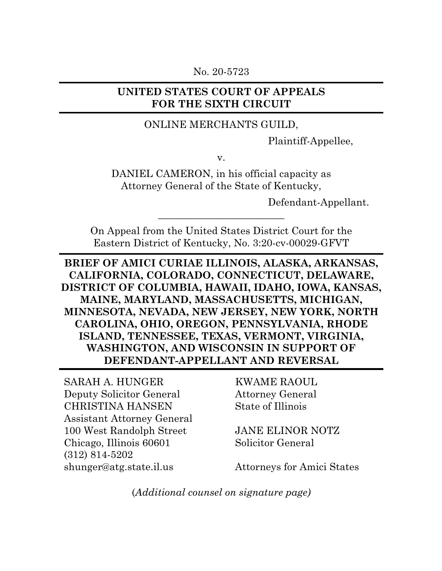No. 20-5723

### **UNITED STATES COURT OF APPEALS FOR THE SIXTH CIRCUIT**

#### ONLINE MERCHANTS GUILD,

Plaintiff-Appellee,

v.

DANIEL CAMERON, in his official capacity as Attorney General of the State of Kentucky,

Defendant-Appellant.

On Appeal from the United States District Court for the Eastern District of Kentucky, No. 3:20-cv-00029-GFVT

 $\overline{\phantom{a}}$  , where  $\overline{\phantom{a}}$  , where  $\overline{\phantom{a}}$  , where  $\overline{\phantom{a}}$ 

## **BRIEF OF AMICI CURIAE ILLINOIS, ALASKA, ARKANSAS, CALIFORNIA, COLORADO, CONNECTICUT, DELAWARE, DISTRICT OF COLUMBIA, HAWAII, IDAHO, IOWA, KANSAS, MAINE, MARYLAND, MASSACHUSETTS, MICHIGAN, MINNESOTA, NEVADA, NEW JERSEY, NEW YORK, NORTH CAROLINA, OHIO, OREGON, PENNSYLVANIA, RHODE ISLAND, TENNESSEE, TEXAS, VERMONT, VIRGINIA, WASHINGTON, AND WISCONSIN IN SUPPORT OF DEFENDANT-APPELLANT AND REVERSAL**

SARAH A. HUNGER Deputy Solicitor General CHRISTINA HANSEN Assistant Attorney General 100 West Randolph Street Chicago, Illinois 60601 (312) 814-5202 shunger@atg.state.il.us

KWAME RAOUL Attorney General State of Illinois

JANE ELINOR NOTZ Solicitor General

Attorneys for Amici States

(*Additional counsel on signature page)*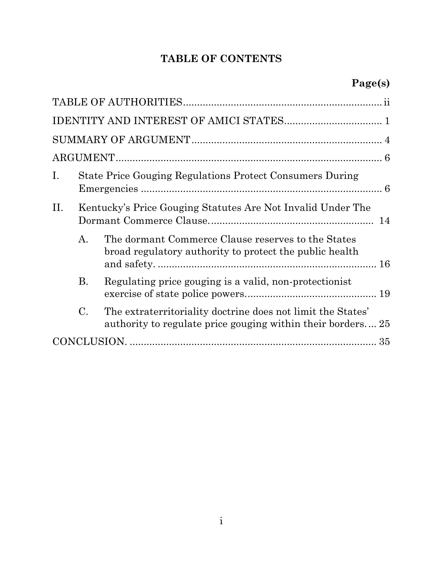## **TABLE OF CONTENTS**

| Ι.  |                                                             | State Price Gouging Regulations Protect Consumers During                                                                   |  |
|-----|-------------------------------------------------------------|----------------------------------------------------------------------------------------------------------------------------|--|
| II. | Kentucky's Price Gouging Statutes Are Not Invalid Under The |                                                                                                                            |  |
|     | А.                                                          | The dormant Commerce Clause reserves to the States<br>broad regulatory authority to protect the public health              |  |
|     | <b>B.</b>                                                   | Regulating price gouging is a valid, non-protectionist                                                                     |  |
|     | $\mathbf{C}$ .                                              | The extraterritoriality doctrine does not limit the States'<br>authority to regulate price gouging within their borders 25 |  |
|     |                                                             |                                                                                                                            |  |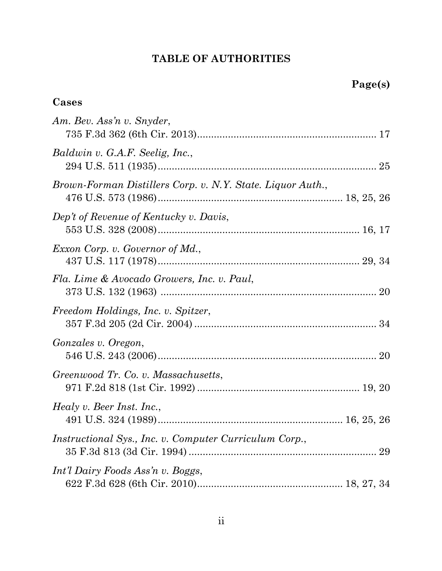## **TABLE OF AUTHORITIES**

| Cases                                                         |  |
|---------------------------------------------------------------|--|
| Am. Bev. Ass'n v. Snyder,                                     |  |
| Baldwin v. G.A.F. Seelig, Inc.,                               |  |
| Brown-Forman Distillers Corp. v. N.Y. State. Liquor Auth.,    |  |
| Dep't of Revenue of Kentucky v. Davis,                        |  |
| <i>Exxon Corp.</i> v. Governor of Md.,                        |  |
| Fla. Lime & Avocado Growers, Inc. v. Paul,                    |  |
| Freedom Holdings, Inc. v. Spitzer,                            |  |
| Gonzales v. Oregon,                                           |  |
| Greenwood Tr. Co. v. Massachusetts,                           |  |
| <i>Healy v. Beer Inst. Inc.,</i>                              |  |
| <i>Instructional Sys., Inc. v. Computer Curriculum Corp.,</i> |  |
| Int'l Dairy Foods Ass'n v. Boggs,                             |  |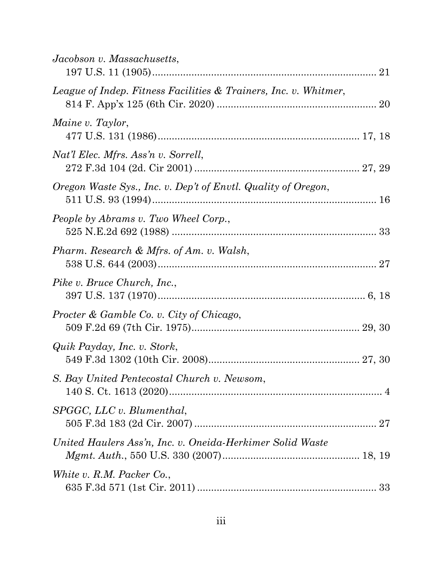| Jacobson v. Massachusetts,                                       |  |
|------------------------------------------------------------------|--|
| League of Indep. Fitness Facilities & Trainers, Inc. v. Whitmer, |  |
| Maine v. Taylor,                                                 |  |
| Nat'l Elec. Mfrs. Ass'n v. Sorrell,                              |  |
| Oregon Waste Sys., Inc. v. Dep't of Envtl. Quality of Oregon,    |  |
| People by Abrams v. Two Wheel Corp.,                             |  |
| Pharm. Research & Mfrs. of Am. v. Walsh,                         |  |
| Pike v. Bruce Church, Inc.,                                      |  |
| Procter & Gamble Co. v. City of Chicago,                         |  |
| Quik Payday, Inc. v. Stork,                                      |  |
| S. Bay United Pentecostal Church v. Newsom,                      |  |
| SPGGC, LLC v. Blumenthal,                                        |  |
| United Haulers Ass'n, Inc. v. Oneida-Herkimer Solid Waste        |  |
| White v. R.M. Packer Co.,                                        |  |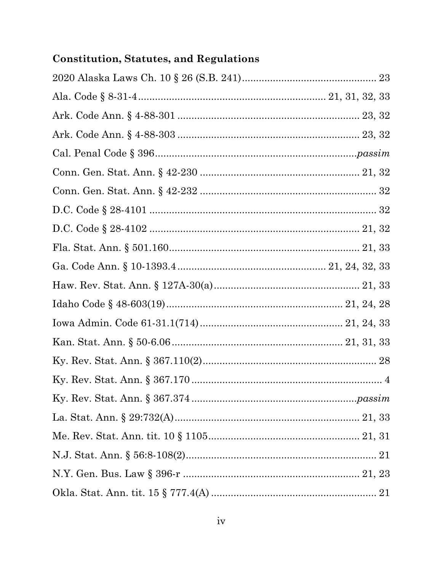# **Constitution, Statutes, and Regulations**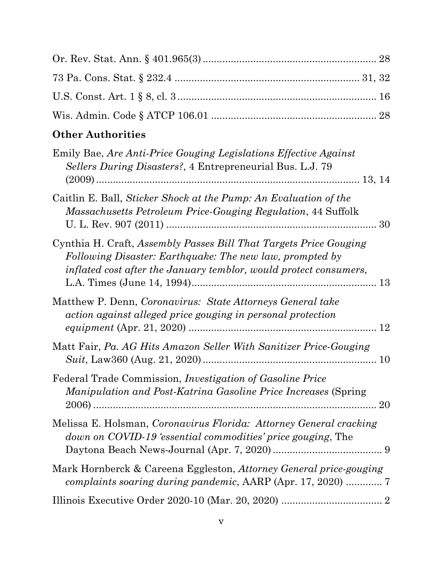# **Other Authorities**

| Emily Bae, Are Anti-Price Gouging Legislations Effective Against<br>Sellers During Disasters?, 4 Entrepreneurial Bus. L.J. 79                                                                      |  |
|----------------------------------------------------------------------------------------------------------------------------------------------------------------------------------------------------|--|
| Caitlin E. Ball, Sticker Shock at the Pump: An Evaluation of the<br>Massachusetts Petroleum Price-Gouging Regulation, 44 Suffolk                                                                   |  |
| Cynthia H. Craft, Assembly Passes Bill That Targets Price Gouging<br>Following Disaster: Earthquake: The new law, prompted by<br>inflated cost after the January temblor, would protect consumers, |  |
| Matthew P. Denn, Coronavirus: State Attorneys General take<br>action against alleged price gouging in personal protection                                                                          |  |
| Matt Fair, Pa. AG Hits Amazon Seller With Sanitizer Price-Gouging                                                                                                                                  |  |
| Federal Trade Commission, <i>Investigation of Gasoline Price</i><br><i>Manipulation and Post-Katrina Gasoline Price Increases (Spring</i>                                                          |  |
| Melissa E. Holsman, Coronavirus Florida: Attorney General cracking<br>down on COVID-19 'essential commodities' price gouging, The                                                                  |  |
| Mark Hornberck & Careena Eggleston, Attorney General price-gouging                                                                                                                                 |  |
|                                                                                                                                                                                                    |  |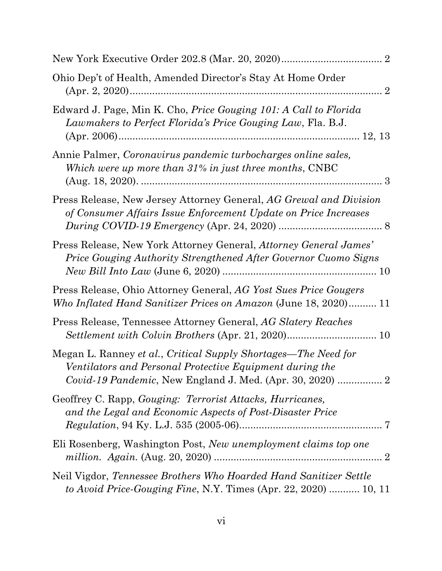| Ohio Dep't of Health, Amended Director's Stay At Home Order                                                                                 |
|---------------------------------------------------------------------------------------------------------------------------------------------|
| Edward J. Page, Min K. Cho, <i>Price Gouging 101: A Call to Florida</i><br>Lawmakers to Perfect Florida's Price Gouging Law, Fla. B.J.      |
| Annie Palmer, Coronavirus pandemic turbocharges online sales,<br>Which were up more than 31% in just three months, CNBC                     |
| Press Release, New Jersey Attorney General, AG Grewal and Division<br>of Consumer Affairs Issue Enforcement Update on Price Increases       |
| Press Release, New York Attorney General, Attorney General James'<br><b>Price Gouging Authority Strengthened After Governor Cuomo Signs</b> |
| Press Release, Ohio Attorney General, AG Yost Sues Price Gougers<br>Who Inflated Hand Sanitizer Prices on Amazon (June 18, 2020) 11         |
| Press Release, Tennessee Attorney General, AG Slatery Reaches                                                                               |
| Megan L. Ranney et al., Critical Supply Shortages—The Need for<br>Ventilators and Personal Protective Equipment during the                  |
| Geoffrey C. Rapp, <i>Gouging: Terrorist Attacks</i> , <i>Hurricanes</i> ,<br>and the Legal and Economic Aspects of Post-Disaster Price      |
| Eli Rosenberg, Washington Post, New unemployment claims top one                                                                             |
| Neil Vigdor, Tennessee Brothers Who Hoarded Hand Sanitizer Settle<br>to Avoid Price-Gouging Fine, N.Y. Times (Apr. 22, 2020)  10, 11        |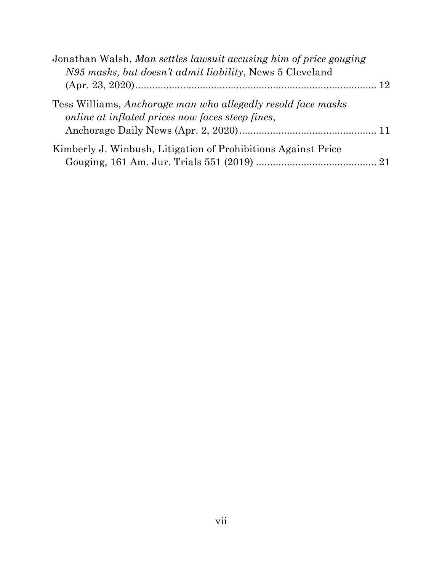| Jonathan Walsh, Man settles lawsuit accusing him of price gouging |  |
|-------------------------------------------------------------------|--|
| N95 masks, but doesn't admit liability, News 5 Cleveland          |  |
|                                                                   |  |
| Tess Williams, Anchorage man who allegedly resold face masks      |  |
| online at inflated prices now faces steep fines,                  |  |
|                                                                   |  |
| Kimberly J. Winbush, Litigation of Prohibitions Against Price     |  |
|                                                                   |  |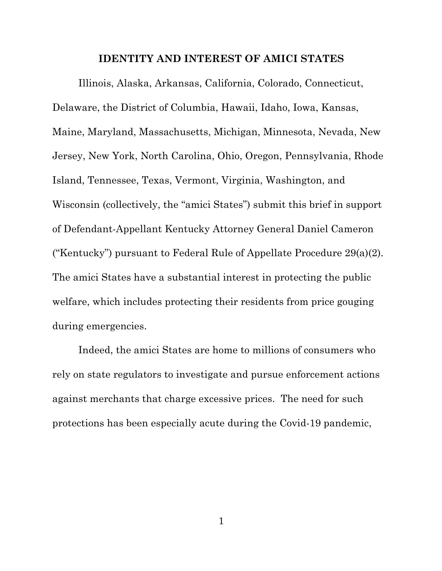#### **IDENTITY AND INTEREST OF AMICI STATES**

Illinois, Alaska, Arkansas, California, Colorado, Connecticut, Delaware, the District of Columbia, Hawaii, Idaho, Iowa, Kansas, Maine, Maryland, Massachusetts, Michigan, Minnesota, Nevada, New Jersey, New York, North Carolina, Ohio, Oregon, Pennsylvania, Rhode Island, Tennessee, Texas, Vermont, Virginia, Washington, and Wisconsin (collectively, the "amici States") submit this brief in support of Defendant-Appellant Kentucky Attorney General Daniel Cameron ("Kentucky") pursuant to Federal Rule of Appellate Procedure 29(a)(2). The amici States have a substantial interest in protecting the public welfare, which includes protecting their residents from price gouging during emergencies.

Indeed, the amici States are home to millions of consumers who rely on state regulators to investigate and pursue enforcement actions against merchants that charge excessive prices. The need for such protections has been especially acute during the Covid-19 pandemic,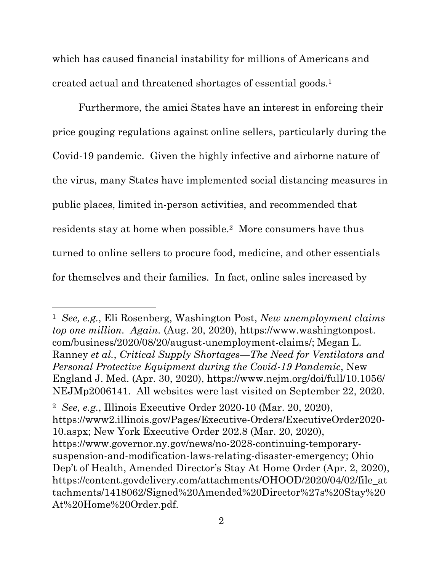which has caused financial instability for millions of Americans and created actual and threatened shortages of essential goods.1

Furthermore, the amici States have an interest in enforcing their price gouging regulations against online sellers, particularly during the Covid-19 pandemic. Given the highly infective and airborne nature of the virus, many States have implemented social distancing measures in public places, limited in-person activities, and recommended that residents stay at home when possible.2 More consumers have thus turned to online sellers to procure food, medicine, and other essentials for themselves and their families. In fact, online sales increased by

<sup>1</sup> *See, e.g.*, Eli Rosenberg, Washington Post, *New unemployment claims top one million. Again.* (Aug. 20, 2020), https://www.washingtonpost. com/business/2020/08/20/august-unemployment-claims/; Megan L. Ranney *et al.*, *Critical Supply Shortages—The Need for Ventilators and Personal Protective Equipment during the Covid-19 Pandemic*, New England J. Med. (Apr. 30, 2020), https://www.nejm.org/doi/full/10.1056/ NEJMp2006141. All websites were last visited on September 22, 2020.

<sup>2</sup> *See, e.g.*, Illinois Executive Order 2020-10 (Mar. 20, 2020), https://www2.illinois.gov/Pages/Executive-Orders/ExecutiveOrder2020-10.aspx; New York Executive Order 202.8 (Mar. 20, 2020), https://www.governor.ny.gov/news/no-2028-continuing-temporarysuspension-and-modification-laws-relating-disaster-emergency; Ohio Dep't of Health, Amended Director's Stay At Home Order (Apr. 2, 2020), https://content.govdelivery.com/attachments/OHOOD/2020/04/02/file\_at tachments/1418062/Signed%20Amended%20Director%27s%20Stay%20 At%20Home%20Order.pdf.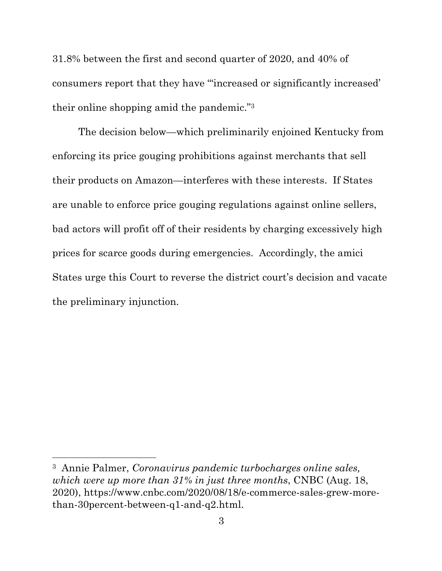31.8% between the first and second quarter of 2020, and 40% of consumers report that they have "'increased or significantly increased' their online shopping amid the pandemic."3

The decision below—which preliminarily enjoined Kentucky from enforcing its price gouging prohibitions against merchants that sell their products on Amazon—interferes with these interests. If States are unable to enforce price gouging regulations against online sellers, bad actors will profit off of their residents by charging excessively high prices for scarce goods during emergencies. Accordingly, the amici States urge this Court to reverse the district court's decision and vacate the preliminary injunction.

<sup>3</sup> Annie Palmer, *Coronavirus pandemic turbocharges online sales, which were up more than 31% in just three months*, CNBC (Aug. 18, 2020), https://www.cnbc.com/2020/08/18/e-commerce-sales-grew-morethan-30percent-between-q1-and-q2.html.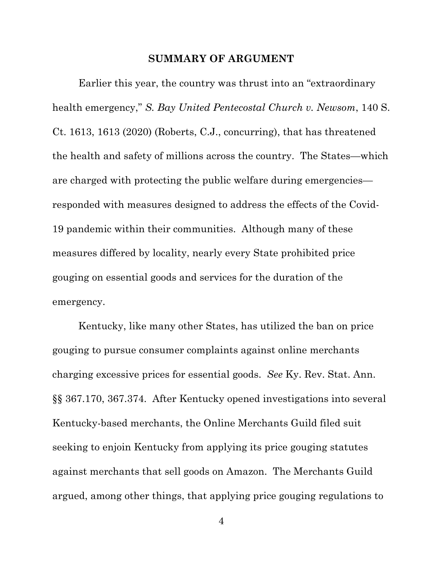#### **SUMMARY OF ARGUMENT**

Earlier this year, the country was thrust into an "extraordinary health emergency," *S. Bay United Pentecostal Church v. Newsom*, 140 S. Ct. 1613, 1613 (2020) (Roberts, C.J., concurring), that has threatened the health and safety of millions across the country. The States—which are charged with protecting the public welfare during emergencies responded with measures designed to address the effects of the Covid-19 pandemic within their communities. Although many of these measures differed by locality, nearly every State prohibited price gouging on essential goods and services for the duration of the emergency.

Kentucky, like many other States, has utilized the ban on price gouging to pursue consumer complaints against online merchants charging excessive prices for essential goods. *See* Ky. Rev. Stat. Ann. §§ 367.170, 367.374. After Kentucky opened investigations into several Kentucky-based merchants, the Online Merchants Guild filed suit seeking to enjoin Kentucky from applying its price gouging statutes against merchants that sell goods on Amazon. The Merchants Guild argued, among other things, that applying price gouging regulations to

4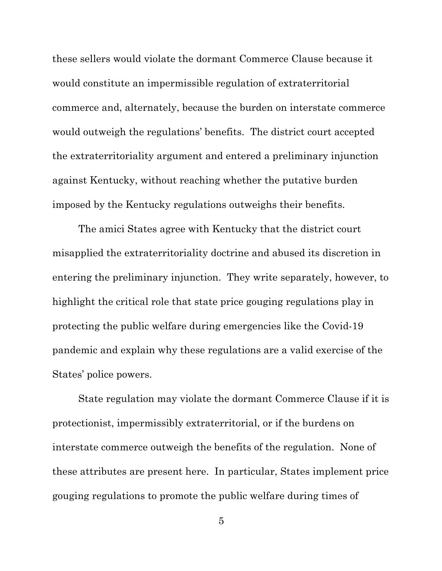these sellers would violate the dormant Commerce Clause because it would constitute an impermissible regulation of extraterritorial commerce and, alternately, because the burden on interstate commerce would outweigh the regulations' benefits. The district court accepted the extraterritoriality argument and entered a preliminary injunction against Kentucky, without reaching whether the putative burden imposed by the Kentucky regulations outweighs their benefits.

The amici States agree with Kentucky that the district court misapplied the extraterritoriality doctrine and abused its discretion in entering the preliminary injunction. They write separately, however, to highlight the critical role that state price gouging regulations play in protecting the public welfare during emergencies like the Covid-19 pandemic and explain why these regulations are a valid exercise of the States' police powers.

State regulation may violate the dormant Commerce Clause if it is protectionist, impermissibly extraterritorial, or if the burdens on interstate commerce outweigh the benefits of the regulation. None of these attributes are present here. In particular, States implement price gouging regulations to promote the public welfare during times of

5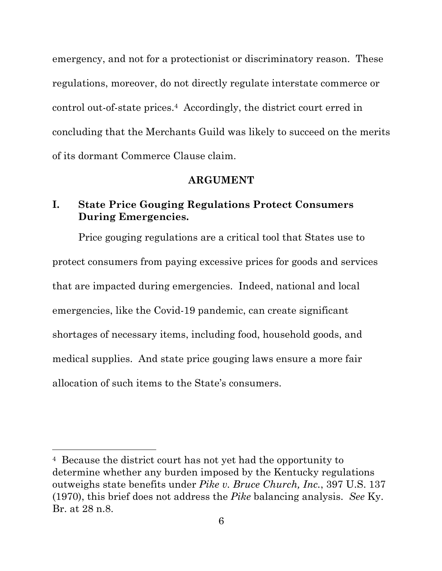emergency, and not for a protectionist or discriminatory reason. These regulations, moreover, do not directly regulate interstate commerce or control out-of-state prices.4 Accordingly, the district court erred in concluding that the Merchants Guild was likely to succeed on the merits of its dormant Commerce Clause claim.

#### **ARGUMENT**

## **I. State Price Gouging Regulations Protect Consumers During Emergencies.**

Price gouging regulations are a critical tool that States use to protect consumers from paying excessive prices for goods and services that are impacted during emergencies. Indeed, national and local emergencies, like the Covid-19 pandemic, can create significant shortages of necessary items, including food, household goods, and medical supplies. And state price gouging laws ensure a more fair allocation of such items to the State's consumers.

<sup>4</sup> Because the district court has not yet had the opportunity to determine whether any burden imposed by the Kentucky regulations outweighs state benefits under *Pike v. Bruce Church, Inc.*, 397 U.S. 137 (1970), this brief does not address the *Pike* balancing analysis. *See* Ky. Br. at 28 n.8.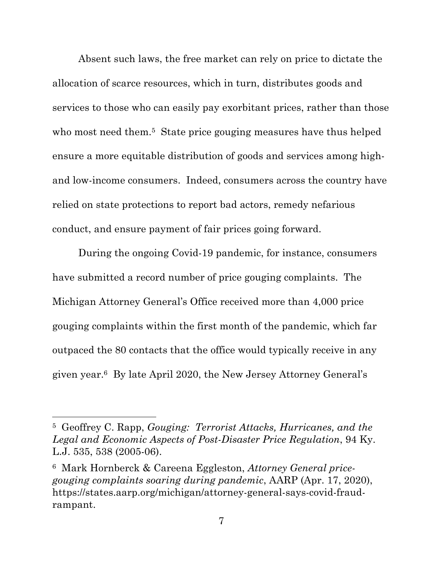Absent such laws, the free market can rely on price to dictate the allocation of scarce resources, which in turn, distributes goods and services to those who can easily pay exorbitant prices, rather than those who most need them.<sup>5</sup> State price gouging measures have thus helped ensure a more equitable distribution of goods and services among highand low-income consumers. Indeed, consumers across the country have relied on state protections to report bad actors, remedy nefarious conduct, and ensure payment of fair prices going forward.

During the ongoing Covid-19 pandemic, for instance, consumers have submitted a record number of price gouging complaints. The Michigan Attorney General's Office received more than 4,000 price gouging complaints within the first month of the pandemic, which far outpaced the 80 contacts that the office would typically receive in any given year.6 By late April 2020, the New Jersey Attorney General's

<sup>5</sup> Geoffrey C. Rapp, *Gouging: Terrorist Attacks, Hurricanes, and the Legal and Economic Aspects of Post-Disaster Price Regulation*, 94 Ky. L.J. 535, 538 (2005-06).

<sup>6</sup> Mark Hornberck & Careena Eggleston, *Attorney General pricegouging complaints soaring during pandemic*, AARP (Apr. 17, 2020), https://states.aarp.org/michigan/attorney-general-says-covid-fraudrampant.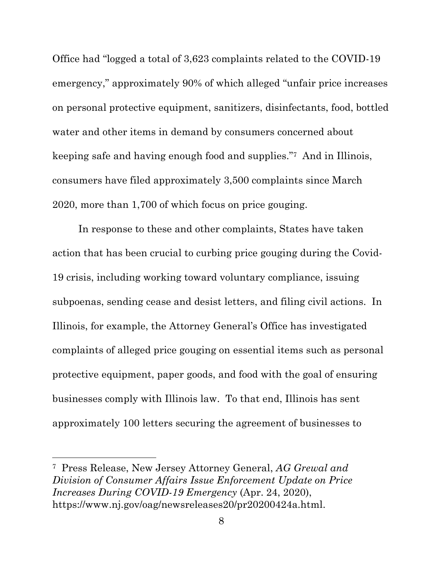Office had "logged a total of 3,623 complaints related to the COVID-19 emergency," approximately 90% of which alleged "unfair price increases on personal protective equipment, sanitizers, disinfectants, food, bottled water and other items in demand by consumers concerned about keeping safe and having enough food and supplies."7 And in Illinois, consumers have filed approximately 3,500 complaints since March 2020, more than 1,700 of which focus on price gouging.

In response to these and other complaints, States have taken action that has been crucial to curbing price gouging during the Covid-19 crisis, including working toward voluntary compliance, issuing subpoenas, sending cease and desist letters, and filing civil actions. In Illinois, for example, the Attorney General's Office has investigated complaints of alleged price gouging on essential items such as personal protective equipment, paper goods, and food with the goal of ensuring businesses comply with Illinois law. To that end, Illinois has sent approximately 100 letters securing the agreement of businesses to

<sup>7</sup> Press Release, New Jersey Attorney General, *AG Grewal and Division of Consumer Affairs Issue Enforcement Update on Price Increases During COVID-19 Emergency* (Apr. 24, 2020), https://www.nj.gov/oag/newsreleases20/pr20200424a.html.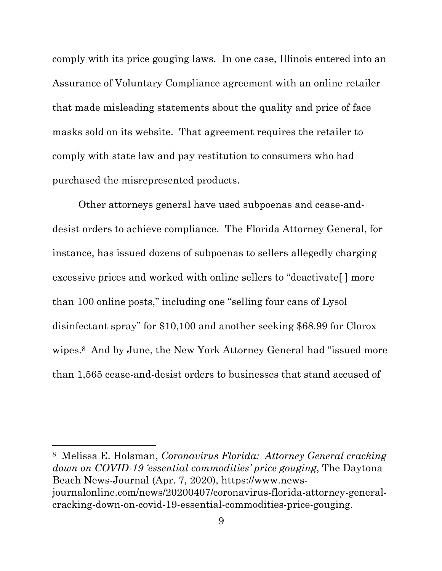comply with its price gouging laws. In one case, Illinois entered into an Assurance of Voluntary Compliance agreement with an online retailer that made misleading statements about the quality and price of face masks sold on its website. That agreement requires the retailer to comply with state law and pay restitution to consumers who had purchased the misrepresented products.

Other attorneys general have used subpoenas and cease-anddesist orders to achieve compliance. The Florida Attorney General, for instance, has issued dozens of subpoenas to sellers allegedly charging excessive prices and worked with online sellers to "deactivate[ ] more than 100 online posts," including one "selling four cans of Lysol disinfectant spray" for \$10,100 and another seeking \$68.99 for Clorox wipes.8 And by June, the New York Attorney General had "issued more than 1,565 cease-and-desist orders to businesses that stand accused of

8 Melissa E. Holsman, *Coronavirus Florida: Attorney General cracking down on COVID-19 'essential commodities' price gouging*, The Daytona Beach News-Journal (Apr. 7, 2020), https://www.newsjournalonline.com/news/20200407/coronavirus-florida-attorney-generalcracking-down-on-covid-19-essential-commodities-price-gouging.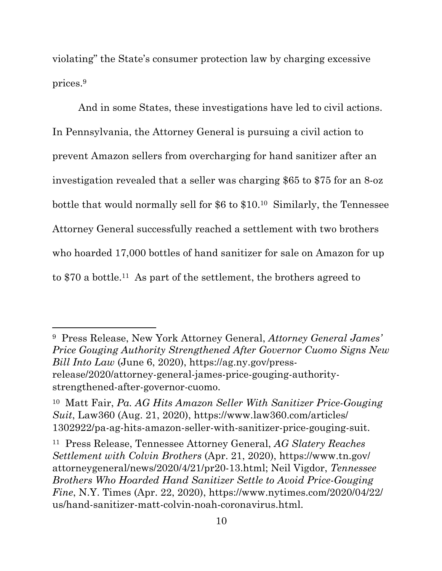violating" the State's consumer protection law by charging excessive prices.9

And in some States, these investigations have led to civil actions. In Pennsylvania, the Attorney General is pursuing a civil action to prevent Amazon sellers from overcharging for hand sanitizer after an investigation revealed that a seller was charging \$65 to \$75 for an 8-oz bottle that would normally sell for \$6 to \$10.10 Similarly, the Tennessee Attorney General successfully reached a settlement with two brothers who hoarded 17,000 bottles of hand sanitizer for sale on Amazon for up to \$70 a bottle.11 As part of the settlement, the brothers agreed to

9 Press Release, New York Attorney General, *Attorney General James' Price Gouging Authority Strengthened After Governor Cuomo Signs New Bill Into Law* (June 6, 2020), https://ag.ny.gov/pressrelease/2020/attorney-general-james-price-gouging-authoritystrengthened-after-governor-cuomo.

<sup>10</sup> Matt Fair, *Pa. AG Hits Amazon Seller With Sanitizer Price-Gouging Suit*, Law360 (Aug. 21, 2020), https://www.law360.com/articles/ 1302922/pa-ag-hits-amazon-seller-with-sanitizer-price-gouging-suit.

<sup>11</sup> Press Release, Tennessee Attorney General, *AG Slatery Reaches Settlement with Colvin Brothers* (Apr. 21, 2020), https://www.tn.gov/ attorneygeneral/news/2020/4/21/pr20-13.html; Neil Vigdor, *Tennessee Brothers Who Hoarded Hand Sanitizer Settle to Avoid Price-Gouging Fine*, N.Y. Times (Apr. 22, 2020), https://www.nytimes.com/2020/04/22/ us/hand-sanitizer-matt-colvin-noah-coronavirus.html.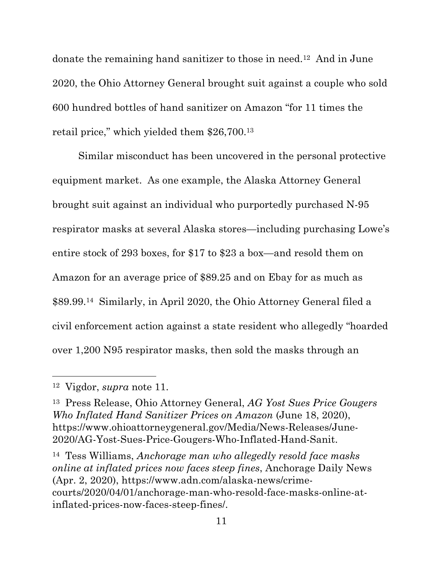donate the remaining hand sanitizer to those in need.12 And in June 2020, the Ohio Attorney General brought suit against a couple who sold 600 hundred bottles of hand sanitizer on Amazon "for 11 times the retail price," which yielded them \$26,700.13

Similar misconduct has been uncovered in the personal protective equipment market. As one example, the Alaska Attorney General brought suit against an individual who purportedly purchased N-95 respirator masks at several Alaska stores—including purchasing Lowe's entire stock of 293 boxes, for \$17 to \$23 a box—and resold them on Amazon for an average price of \$89.25 and on Ebay for as much as \$89.99.14 Similarly, in April 2020, the Ohio Attorney General filed a civil enforcement action against a state resident who allegedly "hoarded over 1,200 N95 respirator masks, then sold the masks through an

<sup>12</sup> Vigdor, *supra* note 11.

<sup>13</sup> Press Release, Ohio Attorney General, *AG Yost Sues Price Gougers Who Inflated Hand Sanitizer Prices on Amazon* (June 18, 2020), https://www.ohioattorneygeneral.gov/Media/News-Releases/June-2020/AG-Yost-Sues-Price-Gougers-Who-Inflated-Hand-Sanit.

<sup>14</sup> Tess Williams, *Anchorage man who allegedly resold face masks online at inflated prices now faces steep fines*, Anchorage Daily News (Apr. 2, 2020), https://www.adn.com/alaska-news/crimecourts/2020/04/01/anchorage-man-who-resold-face-masks-online-atinflated-prices-now-faces-steep-fines/.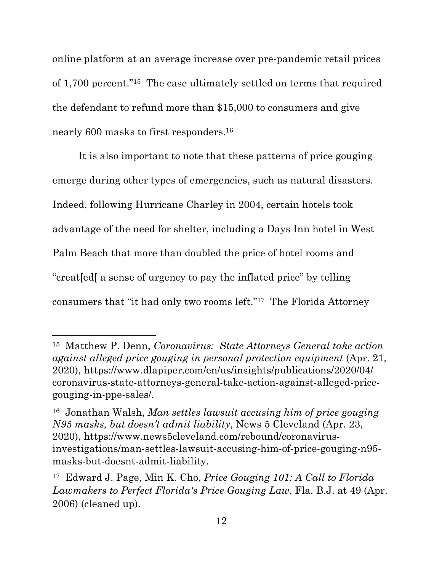online platform at an average increase over pre-pandemic retail prices of 1,700 percent."15 The case ultimately settled on terms that required the defendant to refund more than \$15,000 to consumers and give nearly 600 masks to first responders.16

It is also important to note that these patterns of price gouging emerge during other types of emergencies, such as natural disasters. Indeed, following Hurricane Charley in 2004, certain hotels took advantage of the need for shelter, including a Days Inn hotel in West Palm Beach that more than doubled the price of hotel rooms and "creat[ed[ a sense of urgency to pay the inflated price" by telling consumers that "it had only two rooms left."17 The Florida Attorney

<sup>15</sup> Matthew P. Denn, *Coronavirus: State Attorneys General take action against alleged price gouging in personal protection equipment* (Apr. 21, 2020), https://www.dlapiper.com/en/us/insights/publications/2020/04/ coronavirus-state-attorneys-general-take-action-against-alleged-pricegouging-in-ppe-sales/.

<sup>16</sup> Jonathan Walsh, *Man settles lawsuit accusing him of price gouging N95 masks, but doesn't admit liability*, News 5 Cleveland (Apr. 23, 2020), https://www.news5cleveland.com/rebound/coronavirusinvestigations/man-settles-lawsuit-accusing-him-of-price-gouging-n95 masks-but-doesnt-admit-liability.

<sup>17</sup> Edward J. Page, Min K. Cho, *Price Gouging 101: A Call to Florida Lawmakers to Perfect Florida's Price Gouging Law*, Fla. B.J. at 49 (Apr. 2006) (cleaned up).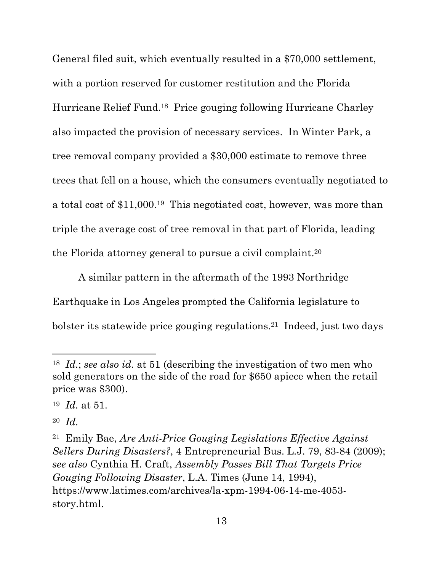General filed suit, which eventually resulted in a \$70,000 settlement, with a portion reserved for customer restitution and the Florida Hurricane Relief Fund.18 Price gouging following Hurricane Charley also impacted the provision of necessary services. In Winter Park, a tree removal company provided a \$30,000 estimate to remove three trees that fell on a house, which the consumers eventually negotiated to a total cost of \$11,000.19 This negotiated cost, however, was more than triple the average cost of tree removal in that part of Florida, leading the Florida attorney general to pursue a civil complaint.20

A similar pattern in the aftermath of the 1993 Northridge Earthquake in Los Angeles prompted the California legislature to bolster its statewide price gouging regulations.21 Indeed, just two days

<sup>18</sup> *Id.*; *see also id.* at 51 (describing the investigation of two men who sold generators on the side of the road for \$650 apiece when the retail price was \$300).

<sup>19</sup> *Id.* at 51.

<sup>20</sup> *Id.* 

<sup>21</sup> Emily Bae, *Are Anti-Price Gouging Legislations Effective Against Sellers During Disasters?*, 4 Entrepreneurial Bus. L.J. 79, 83-84 (2009); *see also* Cynthia H. Craft, *Assembly Passes Bill That Targets Price Gouging Following Disaster*, L.A. Times (June 14, 1994), https://www.latimes.com/archives/la-xpm-1994-06-14-me-4053 story.html.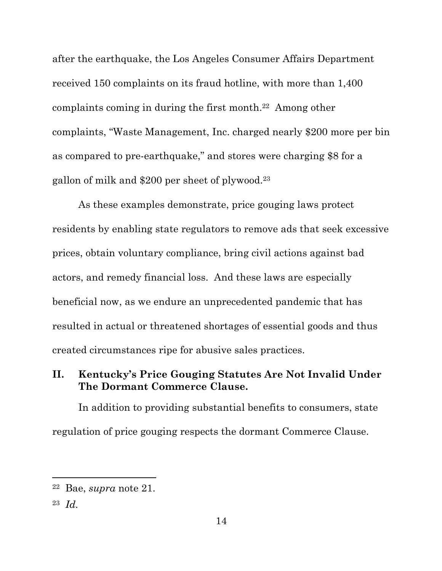after the earthquake, the Los Angeles Consumer Affairs Department received 150 complaints on its fraud hotline, with more than 1,400 complaints coming in during the first month.22 Among other complaints, "Waste Management, Inc. charged nearly \$200 more per bin as compared to pre-earthquake," and stores were charging \$8 for a gallon of milk and \$200 per sheet of plywood.23

As these examples demonstrate, price gouging laws protect residents by enabling state regulators to remove ads that seek excessive prices, obtain voluntary compliance, bring civil actions against bad actors, and remedy financial loss. And these laws are especially beneficial now, as we endure an unprecedented pandemic that has resulted in actual or threatened shortages of essential goods and thus created circumstances ripe for abusive sales practices.

## **II. Kentucky's Price Gouging Statutes Are Not Invalid Under The Dormant Commerce Clause.**

In addition to providing substantial benefits to consumers, state regulation of price gouging respects the dormant Commerce Clause.

<sup>22</sup> Bae, *supra* note 21.

<sup>23</sup> *Id.*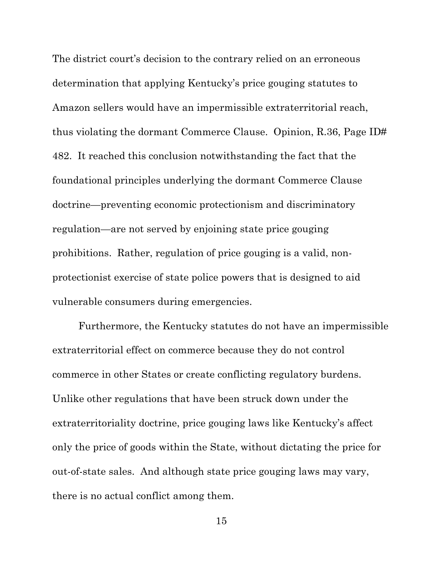The district court's decision to the contrary relied on an erroneous determination that applying Kentucky's price gouging statutes to Amazon sellers would have an impermissible extraterritorial reach, thus violating the dormant Commerce Clause. Opinion, R.36, Page ID# 482. It reached this conclusion notwithstanding the fact that the foundational principles underlying the dormant Commerce Clause doctrine—preventing economic protectionism and discriminatory regulation—are not served by enjoining state price gouging prohibitions. Rather, regulation of price gouging is a valid, nonprotectionist exercise of state police powers that is designed to aid vulnerable consumers during emergencies.

Furthermore, the Kentucky statutes do not have an impermissible extraterritorial effect on commerce because they do not control commerce in other States or create conflicting regulatory burdens. Unlike other regulations that have been struck down under the extraterritoriality doctrine, price gouging laws like Kentucky's affect only the price of goods within the State, without dictating the price for out-of-state sales. And although state price gouging laws may vary, there is no actual conflict among them.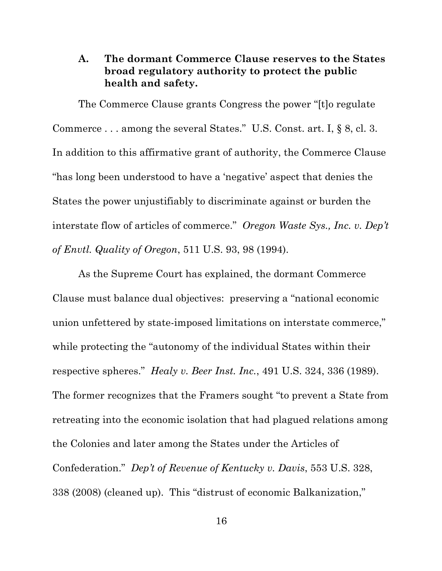## **A. The dormant Commerce Clause reserves to the States broad regulatory authority to protect the public health and safety.**

The Commerce Clause grants Congress the power "[t]o regulate Commerce . . . among the several States." U.S. Const. art. I, § 8, cl. 3. In addition to this affirmative grant of authority, the Commerce Clause "has long been understood to have a 'negative' aspect that denies the States the power unjustifiably to discriminate against or burden the interstate flow of articles of commerce." *Oregon Waste Sys., Inc. v. Dep't of Envtl. Quality of Oregon*, 511 U.S. 93, 98 (1994).

As the Supreme Court has explained, the dormant Commerce Clause must balance dual objectives: preserving a "national economic union unfettered by state-imposed limitations on interstate commerce," while protecting the "autonomy of the individual States within their respective spheres." *Healy v. Beer Inst. Inc.*, 491 U.S. 324, 336 (1989). The former recognizes that the Framers sought "to prevent a State from retreating into the economic isolation that had plagued relations among the Colonies and later among the States under the Articles of Confederation." *Dep't of Revenue of Kentucky v. Davis*, 553 U.S. 328, 338 (2008) (cleaned up). This "distrust of economic Balkanization,"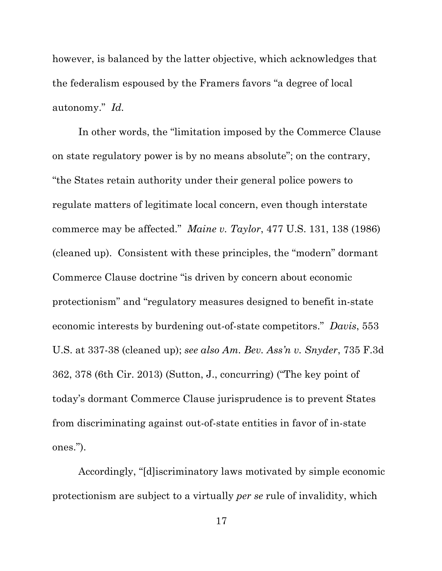however, is balanced by the latter objective, which acknowledges that the federalism espoused by the Framers favors "a degree of local autonomy." *Id.*

In other words, the "limitation imposed by the Commerce Clause on state regulatory power is by no means absolute"; on the contrary, "the States retain authority under their general police powers to regulate matters of legitimate local concern, even though interstate commerce may be affected." *Maine v. Taylor*, 477 U.S. 131, 138 (1986) (cleaned up). Consistent with these principles, the "modern" dormant Commerce Clause doctrine "is driven by concern about economic protectionism" and "regulatory measures designed to benefit in-state economic interests by burdening out-of-state competitors." *Davis*, 553 U.S. at 337-38 (cleaned up); *see also Am. Bev. Ass'n v. Snyder*, 735 F.3d 362, 378 (6th Cir. 2013) (Sutton, J., concurring) ("The key point of today's dormant Commerce Clause jurisprudence is to prevent States from discriminating against out-of-state entities in favor of in-state ones.").

Accordingly, "[d]iscriminatory laws motivated by simple economic protectionism are subject to a virtually *per se* rule of invalidity, which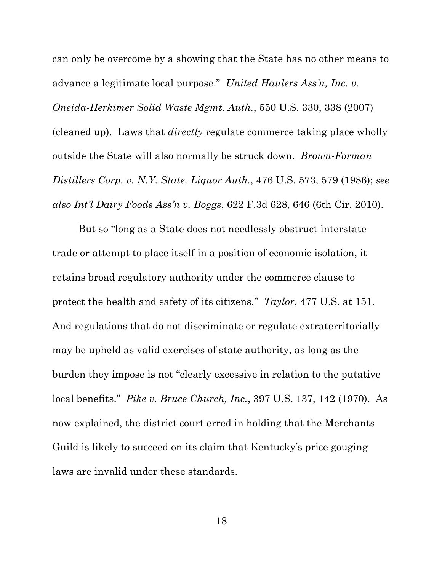can only be overcome by a showing that the State has no other means to advance a legitimate local purpose." *United Haulers Ass'n, Inc. v. Oneida-Herkimer Solid Waste Mgmt. Auth.*, 550 U.S. 330, 338 (2007) (cleaned up). Laws that *directly* regulate commerce taking place wholly outside the State will also normally be struck down. *Brown-Forman Distillers Corp. v. N.Y. State. Liquor Auth.*, 476 U.S. 573, 579 (1986); *see also Int'l Dairy Foods Ass'n v. Boggs*, 622 F.3d 628, 646 (6th Cir. 2010).

But so "long as a State does not needlessly obstruct interstate trade or attempt to place itself in a position of economic isolation, it retains broad regulatory authority under the commerce clause to protect the health and safety of its citizens." *Taylor*, 477 U.S. at 151. And regulations that do not discriminate or regulate extraterritorially may be upheld as valid exercises of state authority, as long as the burden they impose is not "clearly excessive in relation to the putative local benefits." *Pike v. Bruce Church, Inc.*, 397 U.S. 137, 142 (1970). As now explained, the district court erred in holding that the Merchants Guild is likely to succeed on its claim that Kentucky's price gouging laws are invalid under these standards.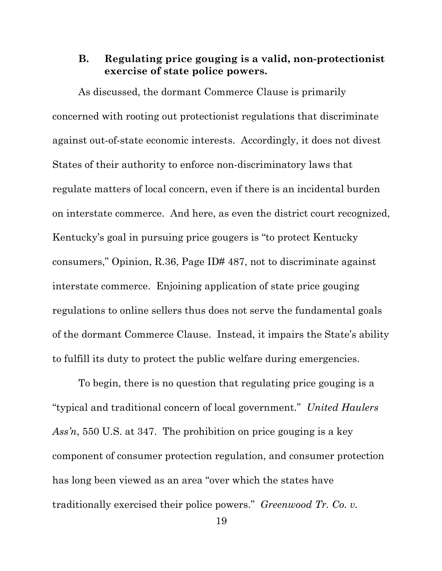#### **B. Regulating price gouging is a valid, non-protectionist exercise of state police powers.**

As discussed, the dormant Commerce Clause is primarily concerned with rooting out protectionist regulations that discriminate against out-of-state economic interests. Accordingly, it does not divest States of their authority to enforce non-discriminatory laws that regulate matters of local concern, even if there is an incidental burden on interstate commerce. And here, as even the district court recognized, Kentucky's goal in pursuing price gougers is "to protect Kentucky consumers," Opinion, R.36, Page ID# 487, not to discriminate against interstate commerce. Enjoining application of state price gouging regulations to online sellers thus does not serve the fundamental goals of the dormant Commerce Clause. Instead, it impairs the State's ability to fulfill its duty to protect the public welfare during emergencies.

To begin, there is no question that regulating price gouging is a "typical and traditional concern of local government." *United Haulers Ass'n*, 550 U.S. at 347. The prohibition on price gouging is a key component of consumer protection regulation, and consumer protection has long been viewed as an area "over which the states have traditionally exercised their police powers." *Greenwood Tr. Co. v.*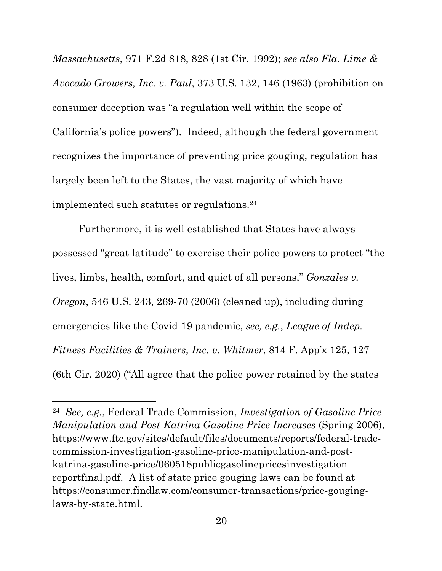*Massachusetts*, 971 F.2d 818, 828 (1st Cir. 1992); *see also Fla. Lime & Avocado Growers, Inc. v. Paul*, 373 U.S. 132, 146 (1963) (prohibition on consumer deception was "a regulation well within the scope of California's police powers"). Indeed, although the federal government recognizes the importance of preventing price gouging, regulation has largely been left to the States, the vast majority of which have implemented such statutes or regulations.24

Furthermore, it is well established that States have always possessed "great latitude" to exercise their police powers to protect "the lives, limbs, health, comfort, and quiet of all persons," *Gonzales v. Oregon*, 546 U.S. 243, 269-70 (2006) (cleaned up), including during emergencies like the Covid-19 pandemic, *see, e.g.*, *League of Indep. Fitness Facilities & Trainers, Inc. v. Whitmer*, 814 F. App'x 125, 127 (6th Cir. 2020) ("All agree that the police power retained by the states

<sup>24</sup> *See, e.g.*, Federal Trade Commission, *Investigation of Gasoline Price Manipulation and Post-Katrina Gasoline Price Increases* (Spring 2006), https://www.ftc.gov/sites/default/files/documents/reports/federal-tradecommission-investigation-gasoline-price-manipulation-and-postkatrina-gasoline-price/060518publicgasolinepricesinvestigation reportfinal.pdf. A list of state price gouging laws can be found at https://consumer.findlaw.com/consumer-transactions/price-gouginglaws-by-state.html.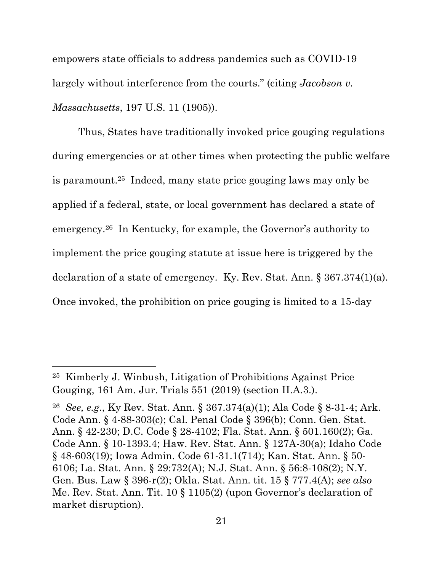empowers state officials to address pandemics such as COVID-19 largely without interference from the courts." (citing *Jacobson v. Massachusetts*, 197 U.S. 11 (1905)).

Thus, States have traditionally invoked price gouging regulations during emergencies or at other times when protecting the public welfare is paramount.25 Indeed, many state price gouging laws may only be applied if a federal, state, or local government has declared a state of emergency.26 In Kentucky, for example, the Governor's authority to implement the price gouging statute at issue here is triggered by the declaration of a state of emergency. Ky. Rev. Stat. Ann. § 367.374(1)(a). Once invoked, the prohibition on price gouging is limited to a 15-day

<sup>25</sup> Kimberly J. Winbush, Litigation of Prohibitions Against Price Gouging, 161 Am. Jur. Trials 551 (2019) (section II.A.3.).

<sup>26</sup> *See, e.g.*, Ky Rev. Stat. Ann. § 367.374(a)(1); Ala Code § 8-31-4; Ark. Code Ann. § 4-88-303(c); Cal. Penal Code § 396(b); Conn. Gen. Stat. Ann. § 42-230; D.C. Code § 28-4102; Fla. Stat. Ann. § 501.160(2); Ga. Code Ann. § 10-1393.4; Haw. Rev. Stat. Ann. § 127A-30(a); Idaho Code § 48-603(19); Iowa Admin. Code 61-31.1(714); Kan. Stat. Ann. § 50- 6106; La. Stat. Ann. § 29:732(A); N.J. Stat. Ann. § 56:8-108(2); N.Y. Gen. Bus. Law § 396-r(2); Okla. Stat. Ann. tit. 15 § 777.4(A); *see also* Me. Rev. Stat. Ann. Tit. 10 § 1105(2) (upon Governor's declaration of market disruption).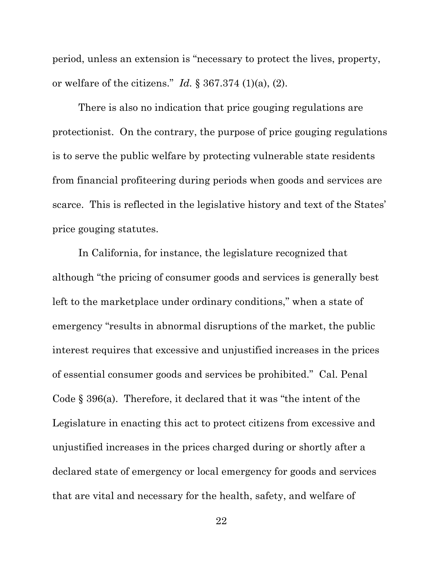period, unless an extension is "necessary to protect the lives, property, or welfare of the citizens." *Id.* § 367.374 (1)(a), (2).

There is also no indication that price gouging regulations are protectionist. On the contrary, the purpose of price gouging regulations is to serve the public welfare by protecting vulnerable state residents from financial profiteering during periods when goods and services are scarce. This is reflected in the legislative history and text of the States' price gouging statutes.

In California, for instance, the legislature recognized that although "the pricing of consumer goods and services is generally best left to the marketplace under ordinary conditions," when a state of emergency "results in abnormal disruptions of the market, the public interest requires that excessive and unjustified increases in the prices of essential consumer goods and services be prohibited." Cal. Penal Code § 396(a). Therefore, it declared that it was "the intent of the Legislature in enacting this act to protect citizens from excessive and unjustified increases in the prices charged during or shortly after a declared state of emergency or local emergency for goods and services that are vital and necessary for the health, safety, and welfare of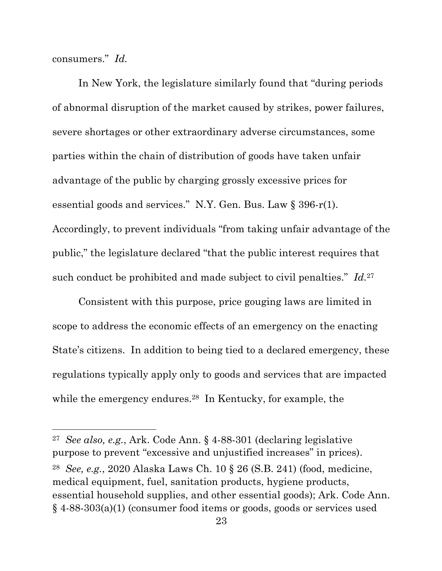consumers." *Id.*

In New York, the legislature similarly found that "during periods of abnormal disruption of the market caused by strikes, power failures, severe shortages or other extraordinary adverse circumstances, some parties within the chain of distribution of goods have taken unfair advantage of the public by charging grossly excessive prices for essential goods and services." N.Y. Gen. Bus. Law § 396-r(1). Accordingly, to prevent individuals "from taking unfair advantage of the public," the legislature declared "that the public interest requires that such conduct be prohibited and made subject to civil penalties." *Id.*27

Consistent with this purpose, price gouging laws are limited in scope to address the economic effects of an emergency on the enacting State's citizens. In addition to being tied to a declared emergency, these regulations typically apply only to goods and services that are impacted while the emergency endures.<sup>28</sup> In Kentucky, for example, the

<sup>27</sup> *See also, e.g.*, Ark. Code Ann. § 4-88-301 (declaring legislative purpose to prevent "excessive and unjustified increases" in prices). 28 *See, e.g.*, 2020 Alaska Laws Ch. 10 § 26 (S.B. 241) (food, medicine, medical equipment, fuel, sanitation products, hygiene products, essential household supplies, and other essential goods); Ark. Code Ann. § 4-88-303(a)(1) (consumer food items or goods, goods or services used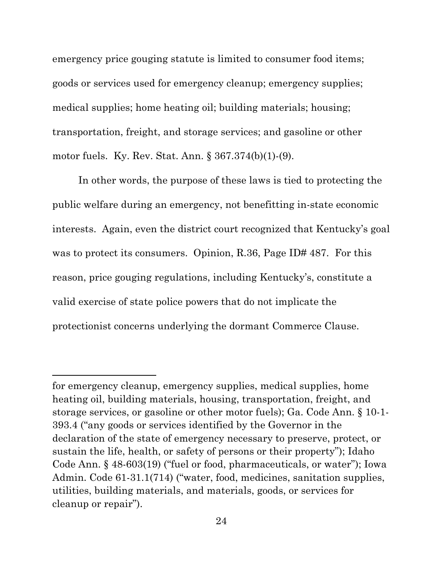emergency price gouging statute is limited to consumer food items; goods or services used for emergency cleanup; emergency supplies; medical supplies; home heating oil; building materials; housing; transportation, freight, and storage services; and gasoline or other motor fuels. Ky. Rev. Stat. Ann. § 367.374(b)(1)-(9).

In other words, the purpose of these laws is tied to protecting the public welfare during an emergency, not benefitting in-state economic interests. Again, even the district court recognized that Kentucky's goal was to protect its consumers. Opinion, R.36, Page ID# 487. For this reason, price gouging regulations, including Kentucky's, constitute a valid exercise of state police powers that do not implicate the protectionist concerns underlying the dormant Commerce Clause.

for emergency cleanup, emergency supplies, medical supplies, home heating oil, building materials, housing, transportation, freight, and storage services, or gasoline or other motor fuels); Ga. Code Ann. § 10-1- 393.4 ("any goods or services identified by the Governor in the declaration of the state of emergency necessary to preserve, protect, or sustain the life, health, or safety of persons or their property"); Idaho Code Ann. § 48-603(19) ("fuel or food, pharmaceuticals, or water"); Iowa Admin. Code 61-31.1(714) ("water, food, medicines, sanitation supplies, utilities, building materials, and materials, goods, or services for cleanup or repair").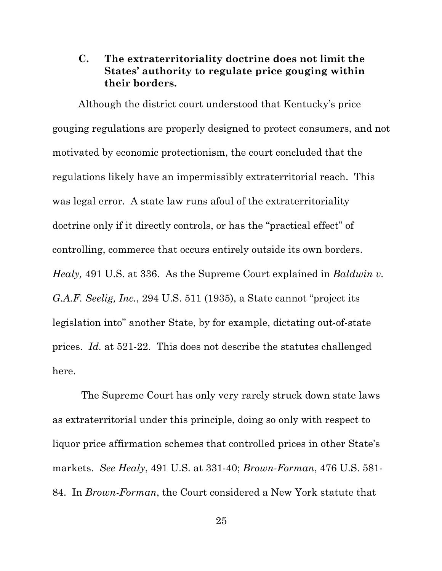### **C. The extraterritoriality doctrine does not limit the States' authority to regulate price gouging within their borders.**

Although the district court understood that Kentucky's price gouging regulations are properly designed to protect consumers, and not motivated by economic protectionism, the court concluded that the regulations likely have an impermissibly extraterritorial reach. This was legal error. A state law runs afoul of the extraterritoriality doctrine only if it directly controls, or has the "practical effect" of controlling, commerce that occurs entirely outside its own borders. *Healy,* 491 U.S. at 336. As the Supreme Court explained in *Baldwin v. G.A.F. Seelig, Inc.*, 294 U.S. 511 (1935), a State cannot "project its legislation into" another State, by for example, dictating out-of-state prices. *Id.* at 521-22. This does not describe the statutes challenged here.

The Supreme Court has only very rarely struck down state laws as extraterritorial under this principle, doing so only with respect to liquor price affirmation schemes that controlled prices in other State's markets. *See Healy*, 491 U.S. at 331-40; *Brown-Forman*, 476 U.S. 581- 84. In *Brown-Forman*, the Court considered a New York statute that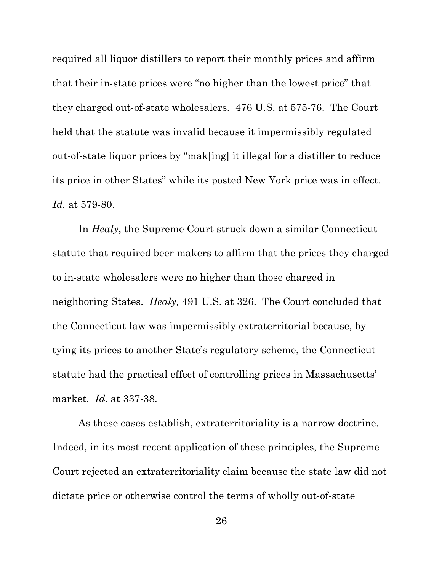required all liquor distillers to report their monthly prices and affirm that their in-state prices were "no higher than the lowest price" that they charged out-of-state wholesalers. 476 U.S. at 575-76. The Court held that the statute was invalid because it impermissibly regulated out-of-state liquor prices by "mak[ing] it illegal for a distiller to reduce its price in other States" while its posted New York price was in effect. *Id.* at 579-80.

In *Healy*, the Supreme Court struck down a similar Connecticut statute that required beer makers to affirm that the prices they charged to in-state wholesalers were no higher than those charged in neighboring States. *Healy,* 491 U.S. at 326. The Court concluded that the Connecticut law was impermissibly extraterritorial because, by tying its prices to another State's regulatory scheme, the Connecticut statute had the practical effect of controlling prices in Massachusetts' market. *Id.* at 337-38.

As these cases establish, extraterritoriality is a narrow doctrine. Indeed, in its most recent application of these principles, the Supreme Court rejected an extraterritoriality claim because the state law did not dictate price or otherwise control the terms of wholly out-of-state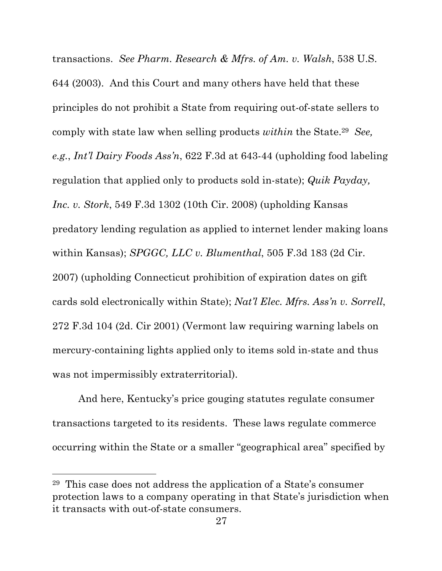transactions. *See Pharm. Research & Mfrs. of Am. v. Walsh*, 538 U.S. 644 (2003). And this Court and many others have held that these principles do not prohibit a State from requiring out-of-state sellers to comply with state law when selling products *within* the State.29 *See, e.g.*, *Int'l Dairy Foods Ass'n*, 622 F.3d at 643-44 (upholding food labeling regulation that applied only to products sold in-state); *Quik Payday, Inc. v. Stork*, 549 F.3d 1302 (10th Cir. 2008) (upholding Kansas predatory lending regulation as applied to internet lender making loans within Kansas); *SPGGC, LLC v. Blumenthal*, 505 F.3d 183 (2d Cir. 2007) (upholding Connecticut prohibition of expiration dates on gift cards sold electronically within State); *Nat'l Elec. Mfrs. Ass'n v. Sorrell*, 272 F.3d 104 (2d. Cir 2001) (Vermont law requiring warning labels on mercury-containing lights applied only to items sold in-state and thus was not impermissibly extraterritorial).

And here, Kentucky's price gouging statutes regulate consumer transactions targeted to its residents. These laws regulate commerce occurring within the State or a smaller "geographical area" specified by

<sup>29</sup> This case does not address the application of a State's consumer protection laws to a company operating in that State's jurisdiction when it transacts with out-of-state consumers.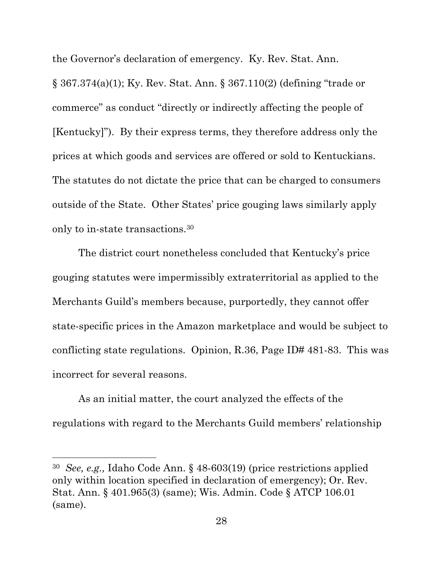the Governor's declaration of emergency. Ky. Rev. Stat. Ann.

§ 367.374(a)(1); Ky. Rev. Stat. Ann. § 367.110(2) (defining "trade or commerce" as conduct "directly or indirectly affecting the people of [Kentucky]"). By their express terms, they therefore address only the prices at which goods and services are offered or sold to Kentuckians. The statutes do not dictate the price that can be charged to consumers outside of the State. Other States' price gouging laws similarly apply only to in-state transactions.30

The district court nonetheless concluded that Kentucky's price gouging statutes were impermissibly extraterritorial as applied to the Merchants Guild's members because, purportedly, they cannot offer state-specific prices in the Amazon marketplace and would be subject to conflicting state regulations. Opinion, R.36, Page ID# 481-83. This was incorrect for several reasons.

As an initial matter, the court analyzed the effects of the regulations with regard to the Merchants Guild members' relationship

<sup>30</sup> *See, e.g.,* Idaho Code Ann. § 48-603(19) (price restrictions applied only within location specified in declaration of emergency); Or. Rev. Stat. Ann. § 401.965(3) (same); Wis. Admin. Code § ATCP 106.01 (same).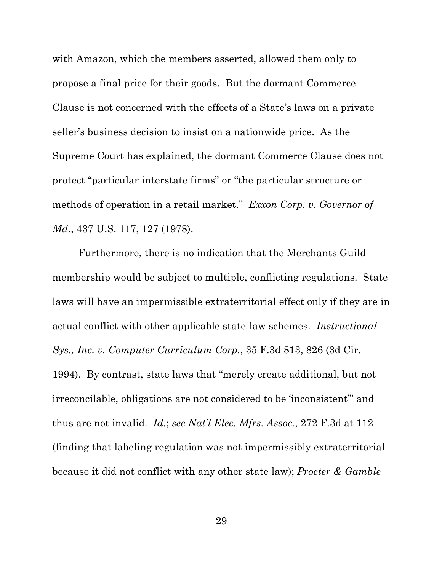with Amazon, which the members asserted, allowed them only to propose a final price for their goods. But the dormant Commerce Clause is not concerned with the effects of a State's laws on a private seller's business decision to insist on a nationwide price. As the Supreme Court has explained, the dormant Commerce Clause does not protect "particular interstate firms" or "the particular structure or methods of operation in a retail market." *Exxon Corp. v. Governor of Md.*, 437 U.S. 117, 127 (1978).

Furthermore, there is no indication that the Merchants Guild membership would be subject to multiple, conflicting regulations. State laws will have an impermissible extraterritorial effect only if they are in actual conflict with other applicable state-law schemes. *Instructional Sys., Inc. v. Computer Curriculum Corp.*, 35 F.3d 813, 826 (3d Cir. 1994). By contrast, state laws that "merely create additional, but not irreconcilable, obligations are not considered to be 'inconsistent'" and thus are not invalid. *Id.*; *see Nat'l Elec. Mfrs. Assoc.*, 272 F.3d at 112 (finding that labeling regulation was not impermissibly extraterritorial because it did not conflict with any other state law); *Procter & Gamble*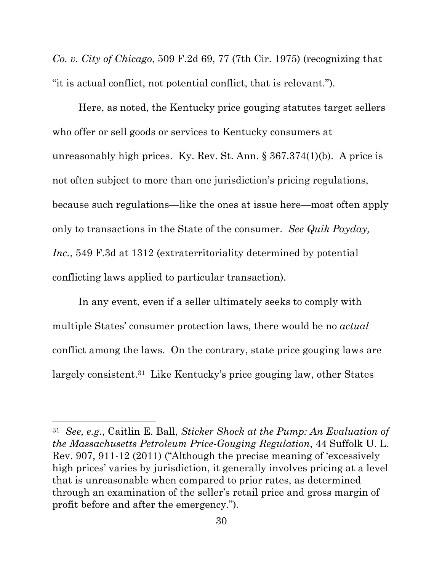*Co. v. City of Chicago*, 509 F.2d 69, 77 (7th Cir. 1975) (recognizing that "it is actual conflict, not potential conflict, that is relevant.").

Here, as noted, the Kentucky price gouging statutes target sellers who offer or sell goods or services to Kentucky consumers at unreasonably high prices. Ky. Rev. St. Ann. § 367.374(1)(b). A price is not often subject to more than one jurisdiction's pricing regulations, because such regulations—like the ones at issue here—most often apply only to transactions in the State of the consumer. *See Quik Payday, Inc.*, 549 F.3d at 1312 (extraterritoriality determined by potential conflicting laws applied to particular transaction).

In any event, even if a seller ultimately seeks to comply with multiple States' consumer protection laws, there would be no *actual*  conflict among the laws. On the contrary, state price gouging laws are largely consistent.31 Like Kentucky's price gouging law, other States

<sup>31</sup> *See, e.g.*, Caitlin E. Ball, *Sticker Shock at the Pump: An Evaluation of the Massachusetts Petroleum Price-Gouging Regulation*, 44 Suffolk U. L. Rev. 907, 911-12 (2011) ("Although the precise meaning of 'excessively high prices' varies by jurisdiction, it generally involves pricing at a level that is unreasonable when compared to prior rates, as determined through an examination of the seller's retail price and gross margin of profit before and after the emergency.").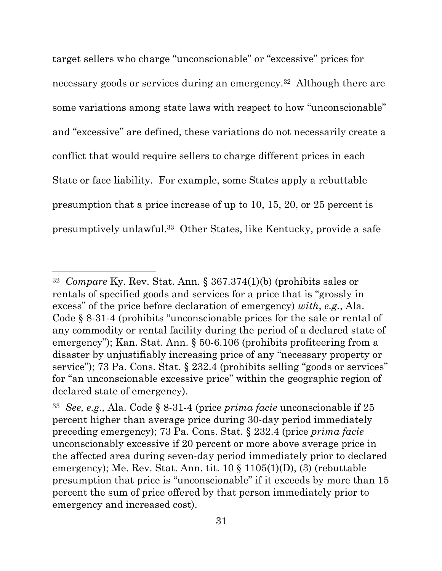target sellers who charge "unconscionable" or "excessive" prices for necessary goods or services during an emergency.32 Although there are some variations among state laws with respect to how "unconscionable" and "excessive" are defined, these variations do not necessarily create a conflict that would require sellers to charge different prices in each State or face liability. For example, some States apply a rebuttable presumption that a price increase of up to 10, 15, 20, or 25 percent is presumptively unlawful.33 Other States, like Kentucky, provide a safe

<sup>32</sup> *Compare* Ky. Rev. Stat. Ann. § 367.374(1)(b) (prohibits sales or rentals of specified goods and services for a price that is "grossly in excess" of the price before declaration of emergency) *with*, *e.g.*, Ala. Code § 8-31-4 (prohibits "unconscionable prices for the sale or rental of any commodity or rental facility during the period of a declared state of emergency"); Kan. Stat. Ann. § 50-6.106 (prohibits profiteering from a disaster by unjustifiably increasing price of any "necessary property or service"); 73 Pa. Cons. Stat. § 232.4 (prohibits selling "goods or services" for "an unconscionable excessive price" within the geographic region of declared state of emergency).

<sup>33</sup> *See, e.g.,* Ala. Code § 8-31-4 (price *prima facie* unconscionable if 25 percent higher than average price during 30-day period immediately preceding emergency); 73 Pa. Cons. Stat. § 232.4 (price *prima facie* unconscionably excessive if 20 percent or more above average price in the affected area during seven-day period immediately prior to declared emergency); Me. Rev. Stat. Ann. tit. 10 § 1105(1)(D), (3) (rebuttable presumption that price is "unconscionable" if it exceeds by more than 15 percent the sum of price offered by that person immediately prior to emergency and increased cost).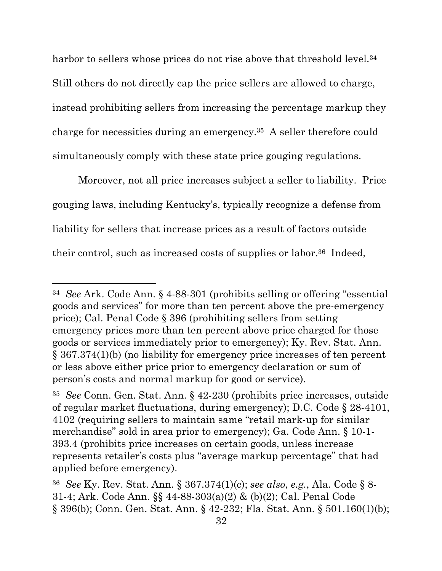harbor to sellers whose prices do not rise above that threshold level.<sup>34</sup> Still others do not directly cap the price sellers are allowed to charge, instead prohibiting sellers from increasing the percentage markup they charge for necessities during an emergency.35 A seller therefore could simultaneously comply with these state price gouging regulations.

Moreover, not all price increases subject a seller to liability. Price gouging laws, including Kentucky's, typically recognize a defense from liability for sellers that increase prices as a result of factors outside their control, such as increased costs of supplies or labor.<sup>36</sup> Indeed,

<sup>34</sup> *See* Ark. Code Ann. § 4-88-301 (prohibits selling or offering "essential goods and services" for more than ten percent above the pre-emergency price); Cal. Penal Code § 396 (prohibiting sellers from setting emergency prices more than ten percent above price charged for those goods or services immediately prior to emergency); Ky. Rev. Stat. Ann. § 367.374(1)(b) (no liability for emergency price increases of ten percent or less above either price prior to emergency declaration or sum of person's costs and normal markup for good or service).

<sup>35</sup> *See* Conn. Gen. Stat. Ann. § 42-230 (prohibits price increases, outside of regular market fluctuations, during emergency); D.C. Code § 28-4101, 4102 (requiring sellers to maintain same "retail mark-up for similar merchandise" sold in area prior to emergency); Ga. Code Ann. § 10-1- 393.4 (prohibits price increases on certain goods, unless increase represents retailer's costs plus "average markup percentage" that had applied before emergency).

<sup>36</sup> *See* Ky. Rev. Stat. Ann. § 367.374(1)(c); *see also*, *e.g.*, Ala. Code § 8- 31-4; Ark. Code Ann. §§ 44-88-303(a)(2) & (b)(2); Cal. Penal Code § 396(b); Conn. Gen. Stat. Ann. § 42-232; Fla. Stat. Ann. § 501.160(1)(b);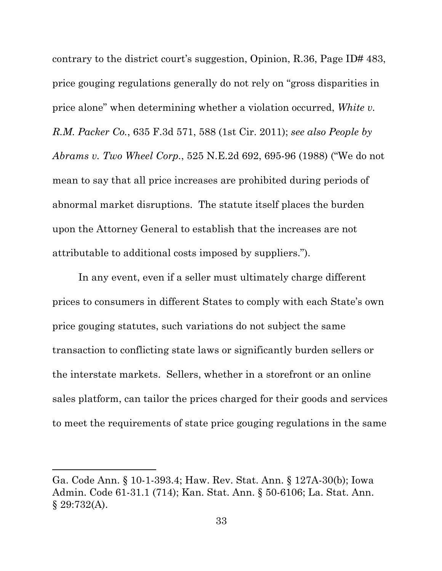contrary to the district court's suggestion, Opinion, R.36, Page ID# 483, price gouging regulations generally do not rely on "gross disparities in price alone" when determining whether a violation occurred, *White v. R.M. Packer Co.*, 635 F.3d 571, 588 (1st Cir. 2011); *see also People by Abrams v. Two Wheel Corp.*, 525 N.E.2d 692, 695-96 (1988) ("We do not mean to say that all price increases are prohibited during periods of abnormal market disruptions. The statute itself places the burden upon the Attorney General to establish that the increases are not attributable to additional costs imposed by suppliers.").

In any event, even if a seller must ultimately charge different prices to consumers in different States to comply with each State's own price gouging statutes, such variations do not subject the same transaction to conflicting state laws or significantly burden sellers or the interstate markets. Sellers, whether in a storefront or an online sales platform, can tailor the prices charged for their goods and services to meet the requirements of state price gouging regulations in the same

Ga. Code Ann. § 10-1-393.4; Haw. Rev. Stat. Ann. § 127A-30(b); Iowa Admin. Code 61-31.1 (714); Kan. Stat. Ann. § 50-6106; La. Stat. Ann.  $§ 29:732(A).$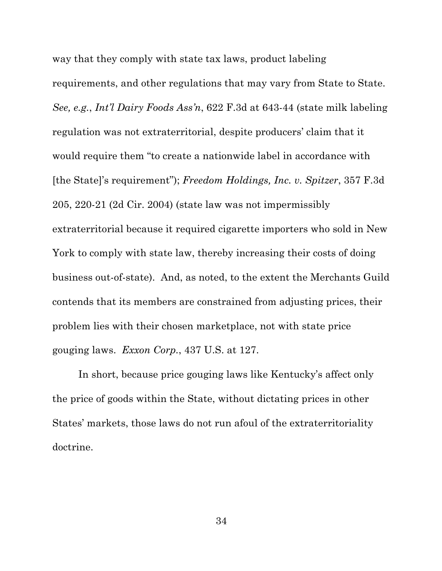way that they comply with state tax laws, product labeling requirements, and other regulations that may vary from State to State. *See, e.g.*, *Int'l Dairy Foods Ass'n*, 622 F.3d at 643-44 (state milk labeling regulation was not extraterritorial, despite producers' claim that it would require them "to create a nationwide label in accordance with [the State]'s requirement"); *Freedom Holdings, Inc. v. Spitzer*, 357 F.3d 205, 220-21 (2d Cir. 2004) (state law was not impermissibly extraterritorial because it required cigarette importers who sold in New York to comply with state law, thereby increasing their costs of doing business out-of-state). And, as noted, to the extent the Merchants Guild contends that its members are constrained from adjusting prices, their problem lies with their chosen marketplace, not with state price gouging laws. *Exxon Corp.*, 437 U.S. at 127.

In short, because price gouging laws like Kentucky's affect only the price of goods within the State, without dictating prices in other States' markets, those laws do not run afoul of the extraterritoriality doctrine.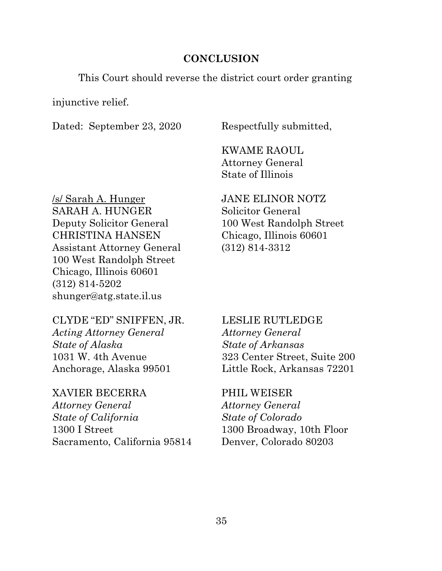#### **CONCLUSION**

This Court should reverse the district court order granting

injunctive relief.

Dated: September 23, 2020 Respectfully submitted,

KWAME RAOUL Attorney General State of Illinois

/s/ Sarah A. Hunger SARAH A. HUNGER Deputy Solicitor General CHRISTINA HANSEN Assistant Attorney General 100 West Randolph Street Chicago, Illinois 60601 (312) 814-5202 shunger@atg.state.il.us

CLYDE "ED" SNIFFEN, JR. *Acting Attorney General State of Alaska* 1031 W. 4th Avenue Anchorage, Alaska 99501

#### XAVIER BECERRA

*Attorney General State of California* 1300 I Street Sacramento, California 95814 JANE ELINOR NOTZ Solicitor General 100 West Randolph Street Chicago, Illinois 60601 (312) 814-3312

LESLIE RUTLEDGE *Attorney General State of Arkansas* 323 Center Street, Suite 200 Little Rock, Arkansas 72201

PHIL WEISER *Attorney General State of Colorado* 1300 Broadway, 10th Floor Denver, Colorado 80203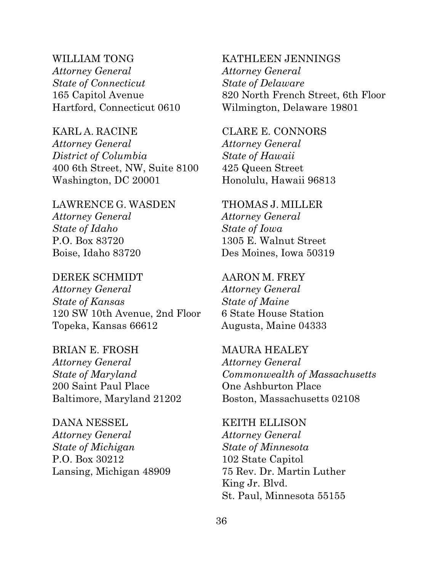WILLIAM TONG *Attorney General State of Connecticut* 165 Capitol Avenue Hartford, Connecticut 0610

KARL A. RACINE *Attorney General District of Columbia* 400 6th Street, NW, Suite 8100 Washington, DC 20001

LAWRENCE G. WASDEN *Attorney General State of Idaho* P.O. Box 83720 Boise, Idaho 83720

DEREK SCHMIDT *Attorney General State of Kansas* 120 SW 10th Avenue, 2nd Floor Topeka, Kansas 66612

BRIAN E. FROSH *Attorney General State of Maryland* 200 Saint Paul Place Baltimore, Maryland 21202

DANA NESSEL *Attorney General State of Michigan*  P.O. Box 30212 Lansing, Michigan 48909 KATHLEEN JENNINGS *Attorney General State of Delaware* 820 North French Street, 6th Floor Wilmington, Delaware 19801

CLARE E. CONNORS *Attorney General State of Hawaii* 425 Queen Street Honolulu, Hawaii 96813

THOMAS J. MILLER *Attorney General State of Iowa* 1305 E. Walnut Street Des Moines, Iowa 50319

AARON M. FREY *Attorney General State of Maine* 6 State House Station Augusta, Maine 04333

MAURA HEALEY *Attorney General Commonwealth of Massachusetts* One Ashburton Place Boston, Massachusetts 02108

KEITH ELLISON *Attorney General State of Minnesota* 102 State Capitol 75 Rev. Dr. Martin Luther King Jr. Blvd. St. Paul, Minnesota 55155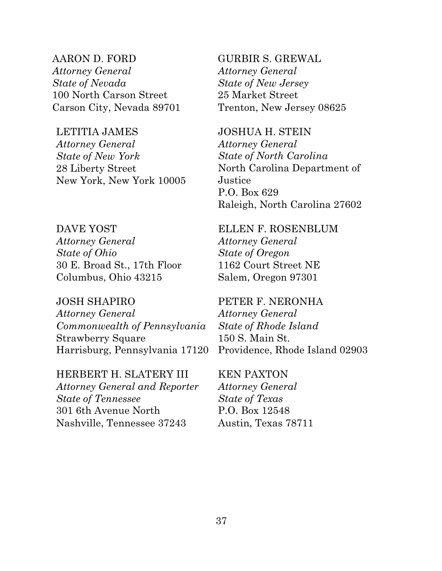AARON D. FORD *Attorney General State of Nevada* 100 North Carson Street Carson City, Nevada 89701

LETITIA JAMES

*Attorney General State of New York*  28 Liberty Street New York, New York 10005

DAVE YOST *Attorney General State of Ohio* 30 E. Broad St., 17th Floor Columbus, Ohio 43215

JOSH SHAPIRO

*Attorney General Commonwealth of Pennsylvania* Strawberry Square Harrisburg, Pennsylvania 17120

HERBERT H. SLATERY III *Attorney General and Reporter State of Tennessee* 301 6th Avenue North Nashville, Tennessee 37243

GURBIR S. GREWAL *Attorney General State of New Jersey* 25 Market Street Trenton, New Jersey 08625

JOSHUA H. STEIN *Attorney General State of North Carolina* North Carolina Department of Justice P.O. Box 629 Raleigh, North Carolina 27602

ELLEN F. ROSENBLUM *Attorney General State of Oregon* 1162 Court Street NE Salem, Oregon 97301

PETER F. NERONHA *Attorney General State of Rhode Island*  150 S. Main St. Providence, Rhode Island 02903

KEN PAXTON *Attorney General State of Texas* P.O. Box 12548 Austin, Texas 78711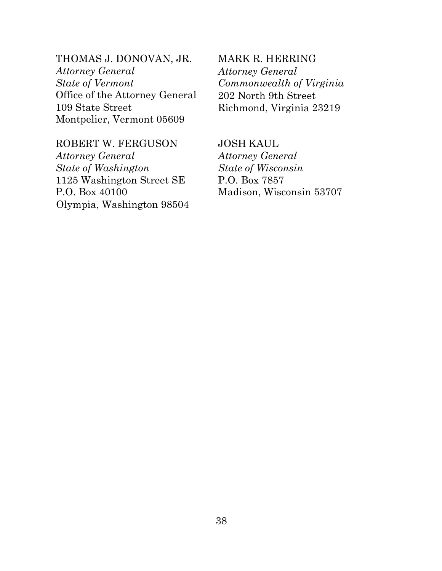THOMAS J. DONOVAN, JR. *Attorney General State of Vermont* Office of the Attorney General 109 State Street Montpelier, Vermont 05609

ROBERT W. FERGUSON

*Attorney General State of Washington* 1125 Washington Street SE P.O. Box 40100 Olympia, Washington 98504

MARK R. HERRING *Attorney General Commonwealth of Virginia*  202 North 9th Street Richmond, Virginia 23219

JOSH KAUL *Attorney General State of Wisconsin* P.O. Box 7857 Madison, Wisconsin 53707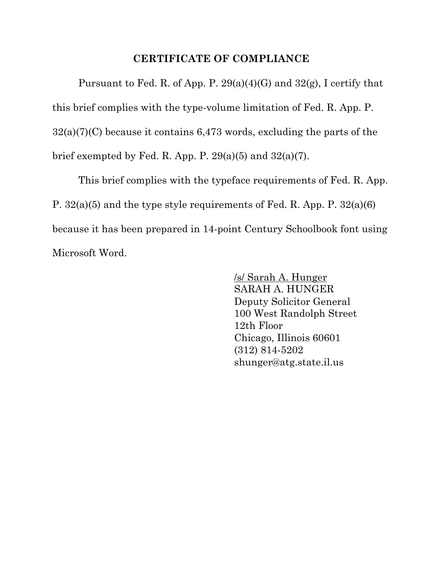### **CERTIFICATE OF COMPLIANCE**

Pursuant to Fed. R. of App. P.  $29(a)(4)(G)$  and  $32(g)$ , I certify that this brief complies with the type-volume limitation of Fed. R. App. P.  $32(a)(7)(C)$  because it contains 6,473 words, excluding the parts of the brief exempted by Fed. R. App. P.  $29(a)(5)$  and  $32(a)(7)$ .

This brief complies with the typeface requirements of Fed. R. App. P. 32(a)(5) and the type style requirements of Fed. R. App. P. 32(a)(6) because it has been prepared in 14-point Century Schoolbook font using Microsoft Word.

> /s/ Sarah A. Hunger SARAH A. HUNGER Deputy Solicitor General 100 West Randolph Street 12th Floor Chicago, Illinois 60601 (312) 814-5202 shunger@atg.state.il.us